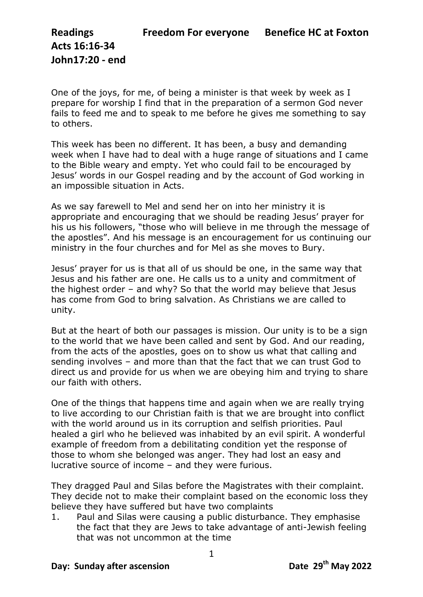**Acts 16:16-34 John17:20 - end**

One of the joys, for me, of being a minister is that week by week as I prepare for worship I find that in the preparation of a sermon God never fails to feed me and to speak to me before he gives me something to say to others.

This week has been no different. It has been, a busy and demanding week when I have had to deal with a huge range of situations and I came to the Bible weary and empty. Yet who could fail to be encouraged by Jesus' words in our Gospel reading and by the account of God working in an impossible situation in Acts.

As we say farewell to Mel and send her on into her ministry it is appropriate and encouraging that we should be reading Jesus' prayer for his us his followers, "those who will believe in me through the message of the apostles". And his message is an encouragement for us continuing our ministry in the four churches and for Mel as she moves to Bury.

Jesus' prayer for us is that all of us should be one, in the same way that Jesus and his father are one. He calls us to a unity and commitment of the highest order – and why? So that the world may believe that Jesus has come from God to bring salvation. As Christians we are called to unity.

But at the heart of both our passages is mission. Our unity is to be a sign to the world that we have been called and sent by God. And our reading, from the acts of the apostles, goes on to show us what that calling and sending involves – and more than that the fact that we can trust God to direct us and provide for us when we are obeying him and trying to share our faith with others.

One of the things that happens time and again when we are really trying to live according to our Christian faith is that we are brought into conflict with the world around us in its corruption and selfish priorities. Paul healed a girl who he believed was inhabited by an evil spirit. A wonderful example of freedom from a debilitating condition yet the response of those to whom she belonged was anger. They had lost an easy and lucrative source of income – and they were furious.

They dragged Paul and Silas before the Magistrates with their complaint. They decide not to make their complaint based on the economic loss they believe they have suffered but have two complaints

1. Paul and Silas were causing a public disturbance. They emphasise the fact that they are Jews to take advantage of anti-Jewish feeling that was not uncommon at the time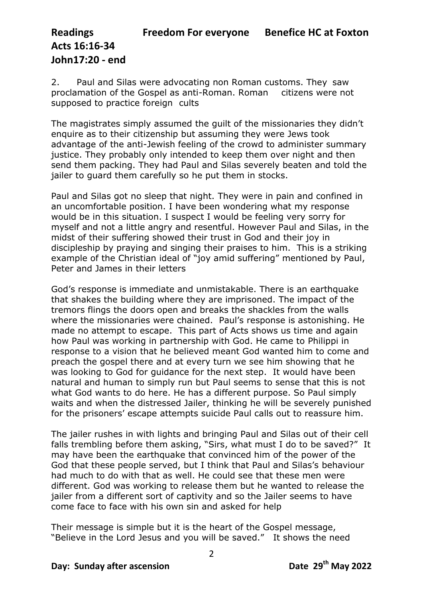## **Readings Freedom For everyone Benefice HC at Foxton Acts 16:16-34 John17:20 - end**

2. Paul and Silas were advocating non Roman customs. They saw proclamation of the Gospel as anti-Roman. Roman citizens were not supposed to practice foreign cults

The magistrates simply assumed the guilt of the missionaries they didn't enquire as to their citizenship but assuming they were Jews took advantage of the anti-Jewish feeling of the crowd to administer summary justice. They probably only intended to keep them over night and then send them packing. They had Paul and Silas severely beaten and told the jailer to guard them carefully so he put them in stocks.

Paul and Silas got no sleep that night. They were in pain and confined in an uncomfortable position. I have been wondering what my response would be in this situation. I suspect I would be feeling very sorry for myself and not a little angry and resentful. However Paul and Silas, in the midst of their suffering showed their trust in God and their joy in discipleship by praying and singing their praises to him. This is a striking example of the Christian ideal of "joy amid suffering" mentioned by Paul, Peter and James in their letters

God's response is immediate and unmistakable. There is an earthquake that shakes the building where they are imprisoned. The impact of the tremors flings the doors open and breaks the shackles from the walls where the missionaries were chained. Paul's response is astonishing. He made no attempt to escape. This part of Acts shows us time and again how Paul was working in partnership with God. He came to Philippi in response to a vision that he believed meant God wanted him to come and preach the gospel there and at every turn we see him showing that he was looking to God for guidance for the next step. It would have been natural and human to simply run but Paul seems to sense that this is not what God wants to do here. He has a different purpose. So Paul simply waits and when the distressed Jailer, thinking he will be severely punished for the prisoners' escape attempts suicide Paul calls out to reassure him.

The jailer rushes in with lights and bringing Paul and Silas out of their cell falls trembling before them asking, "Sirs, what must I do to be saved?" It may have been the earthquake that convinced him of the power of the God that these people served, but I think that Paul and Silas's behaviour had much to do with that as well. He could see that these men were different. God was working to release them but he wanted to release the jailer from a different sort of captivity and so the Jailer seems to have come face to face with his own sin and asked for help

Their message is simple but it is the heart of the Gospel message, "Believe in the Lord Jesus and you will be saved." It shows the need